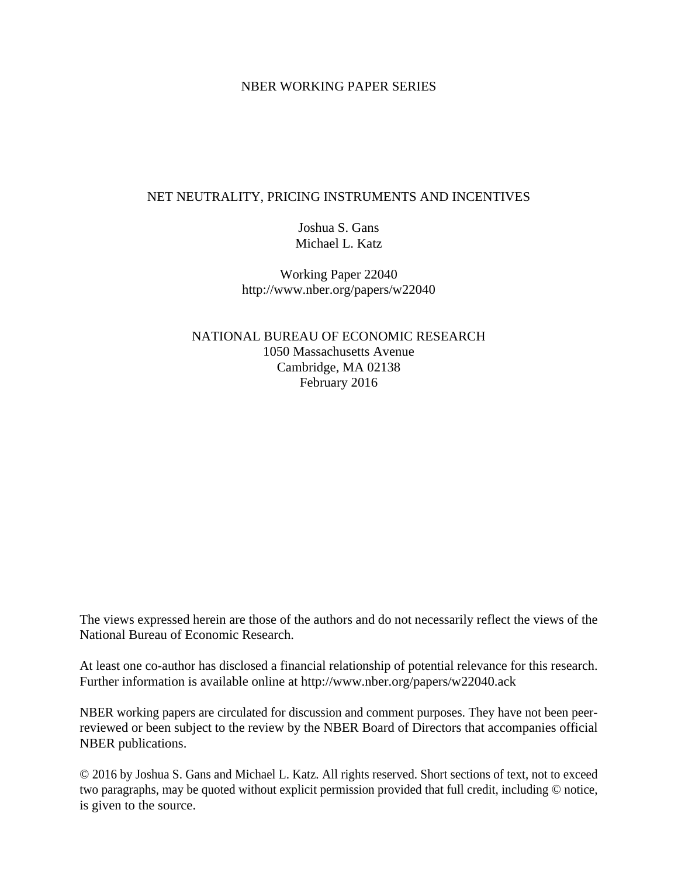#### NBER WORKING PAPER SERIES

### NET NEUTRALITY, PRICING INSTRUMENTS AND INCENTIVES

Joshua S. Gans Michael L. Katz

Working Paper 22040 http://www.nber.org/papers/w22040

NATIONAL BUREAU OF ECONOMIC RESEARCH 1050 Massachusetts Avenue Cambridge, MA 02138 February 2016

The views expressed herein are those of the authors and do not necessarily reflect the views of the National Bureau of Economic Research.

At least one co-author has disclosed a financial relationship of potential relevance for this research. Further information is available online at http://www.nber.org/papers/w22040.ack

NBER working papers are circulated for discussion and comment purposes. They have not been peerreviewed or been subject to the review by the NBER Board of Directors that accompanies official NBER publications.

© 2016 by Joshua S. Gans and Michael L. Katz. All rights reserved. Short sections of text, not to exceed two paragraphs, may be quoted without explicit permission provided that full credit, including © notice, is given to the source.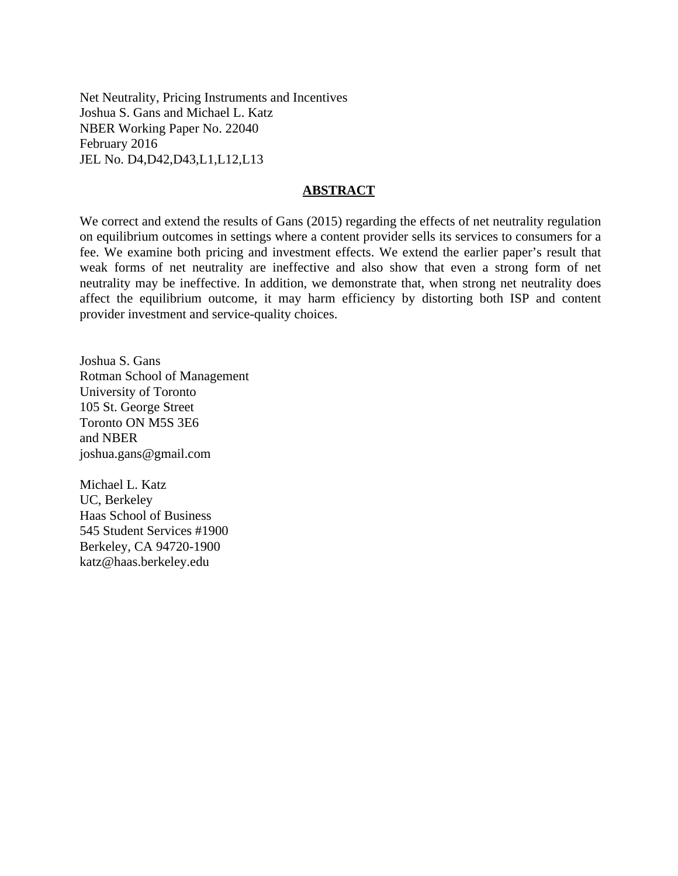Net Neutrality, Pricing Instruments and Incentives Joshua S. Gans and Michael L. Katz NBER Working Paper No. 22040 February 2016 JEL No. D4,D42,D43,L1,L12,L13

#### **ABSTRACT**

We correct and extend the results of Gans (2015) regarding the effects of net neutrality regulation on equilibrium outcomes in settings where a content provider sells its services to consumers for a fee. We examine both pricing and investment effects. We extend the earlier paper's result that weak forms of net neutrality are ineffective and also show that even a strong form of net neutrality may be ineffective. In addition, we demonstrate that, when strong net neutrality does affect the equilibrium outcome, it may harm efficiency by distorting both ISP and content provider investment and service-quality choices.

Joshua S. Gans Rotman School of Management University of Toronto 105 St. George Street Toronto ON M5S 3E6 and NBER joshua.gans@gmail.com

Michael L. Katz UC, Berkeley Haas School of Business 545 Student Services #1900 Berkeley, CA 94720-1900 katz@haas.berkeley.edu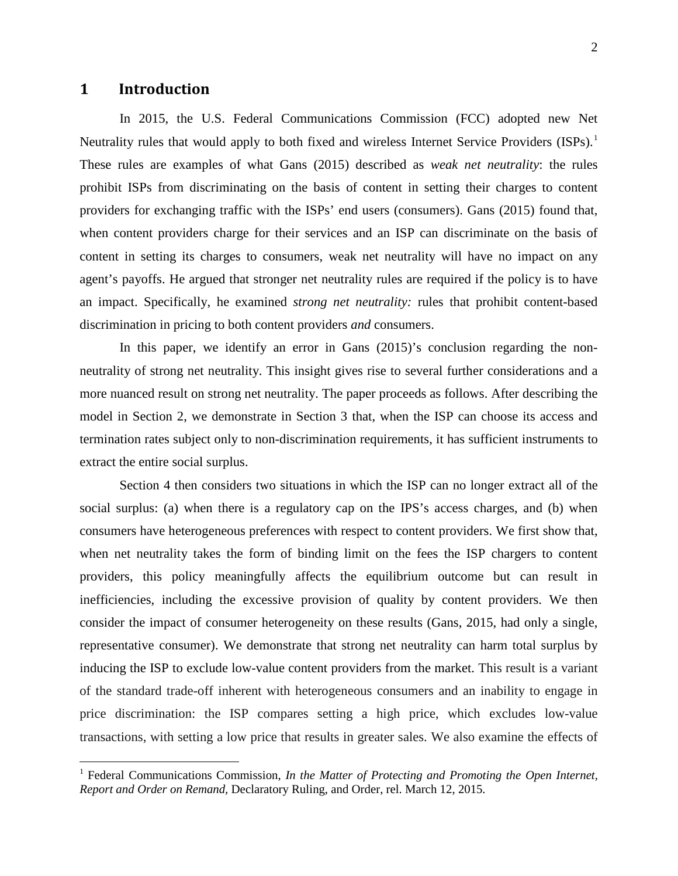### **1 Introduction**

 $\overline{a}$ 

In 2015, the U.S. Federal Communications Commission (FCC) adopted new Net Neutrality rules that would apply to both fixed and wireless Internet Service Providers (ISPs).<sup>1</sup> These rules are examples of what Gans (2015) described as *weak net neutrality*: the rules prohibit ISPs from discriminating on the basis of content in setting their charges to content providers for exchanging traffic with the ISPs' end users (consumers). Gans (2015) found that, when content providers charge for their services and an ISP can discriminate on the basis of content in setting its charges to consumers, weak net neutrality will have no impact on any agent's payoffs. He argued that stronger net neutrality rules are required if the policy is to have an impact. Specifically, he examined *strong net neutrality:* rules that prohibit content-based discrimination in pricing to both content providers *and* consumers.

In this paper, we identify an error in Gans (2015)'s conclusion regarding the nonneutrality of strong net neutrality. This insight gives rise to several further considerations and a more nuanced result on strong net neutrality. The paper proceeds as follows. After describing the model in Section 2, we demonstrate in Section 3 that, when the ISP can choose its access and termination rates subject only to non-discrimination requirements, it has sufficient instruments to extract the entire social surplus.

Section 4 then considers two situations in which the ISP can no longer extract all of the social surplus: (a) when there is a regulatory cap on the IPS's access charges, and (b) when consumers have heterogeneous preferences with respect to content providers. We first show that, when net neutrality takes the form of binding limit on the fees the ISP chargers to content providers, this policy meaningfully affects the equilibrium outcome but can result in inefficiencies, including the excessive provision of quality by content providers. We then consider the impact of consumer heterogeneity on these results (Gans, 2015, had only a single, representative consumer). We demonstrate that strong net neutrality can harm total surplus by inducing the ISP to exclude low-value content providers from the market. This result is a variant of the standard trade-off inherent with heterogeneous consumers and an inability to engage in price discrimination: the ISP compares setting a high price, which excludes low-value transactions, with setting a low price that results in greater sales. We also examine the effects of

<sup>&</sup>lt;sup>1</sup> Federal Communications Commission, *In the Matter of Protecting and Promoting the Open Internet, Report and Order on Remand,* Declaratory Ruling, and Order, rel. March 12, 2015.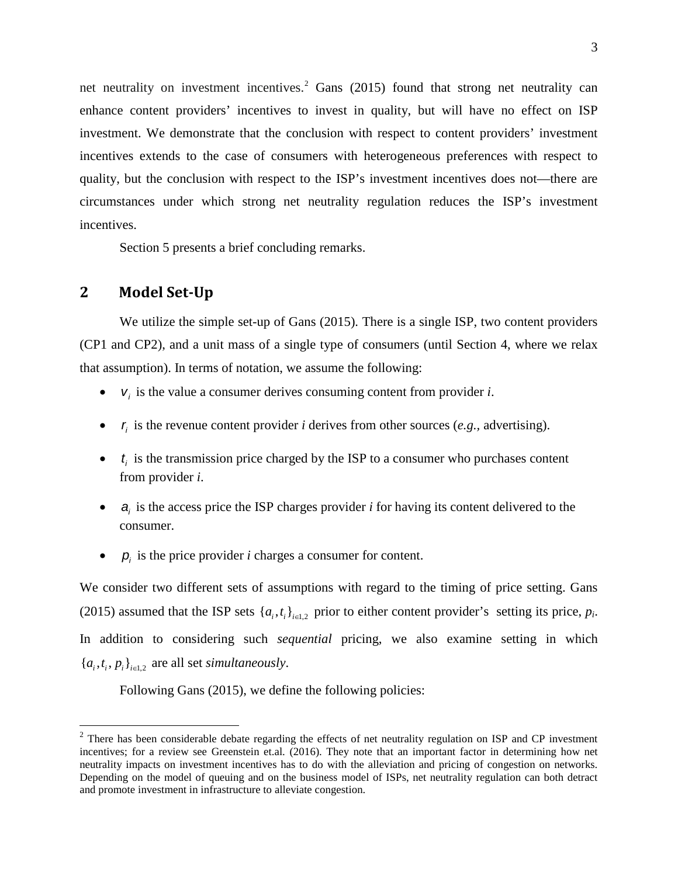net neutrality on investment incentives.<sup>[2](#page-3-0)</sup> Gans (2015) found that strong net neutrality can enhance content providers' incentives to invest in quality, but will have no effect on ISP investment. We demonstrate that the conclusion with respect to content providers' investment incentives extends to the case of consumers with heterogeneous preferences with respect to quality, but the conclusion with respect to the ISP's investment incentives does not—there are circumstances under which strong net neutrality regulation reduces the ISP's investment incentives.

Section 5 presents a brief concluding remarks.

## **2 Model Set-Up**

 $\overline{a}$ 

We utilize the simple set-up of Gans (2015). There is a single ISP, two content providers (CP1 and CP2), and a unit mass of a single type of consumers (until Section 4, where we relax that assumption). In terms of notation, we assume the following:

- $v_i$  is the value a consumer derives consuming content from provider *i*.
- $r_i$  is the revenue content provider *i* derives from other sources (*e.g.,* advertising).
- $\bullet$   $\bullet$   $\bullet$  *i* is the transmission price charged by the ISP to a consumer who purchases content from provider *i*.
- *a<sub>i</sub>* is the access price the ISP charges provider *i* for having its content delivered to the consumer.
- $p_i$  is the price provider *i* charges a consumer for content.

We consider two different sets of assumptions with regard to the timing of price setting. Gans (2015) assumed that the ISP sets  $\{a_i, t_i\}_{i \in L_2}$  prior to either content provider's setting its price,  $p_i$ . In addition to considering such *sequential* pricing, we also examine setting in which  ${a_i, t_i, p_i}_{i \in L2}$  are all set *simultaneously*.

Following Gans (2015), we define the following policies:

<span id="page-3-0"></span> $2$  There has been considerable debate regarding the effects of net neutrality regulation on ISP and CP investment incentives; for a review see Greenstein et.al. (2016). They note that an important factor in determining how net neutrality impacts on investment incentives has to do with the alleviation and pricing of congestion on networks. Depending on the model of queuing and on the business model of ISPs, net neutrality regulation can both detract and promote investment in infrastructure to alleviate congestion.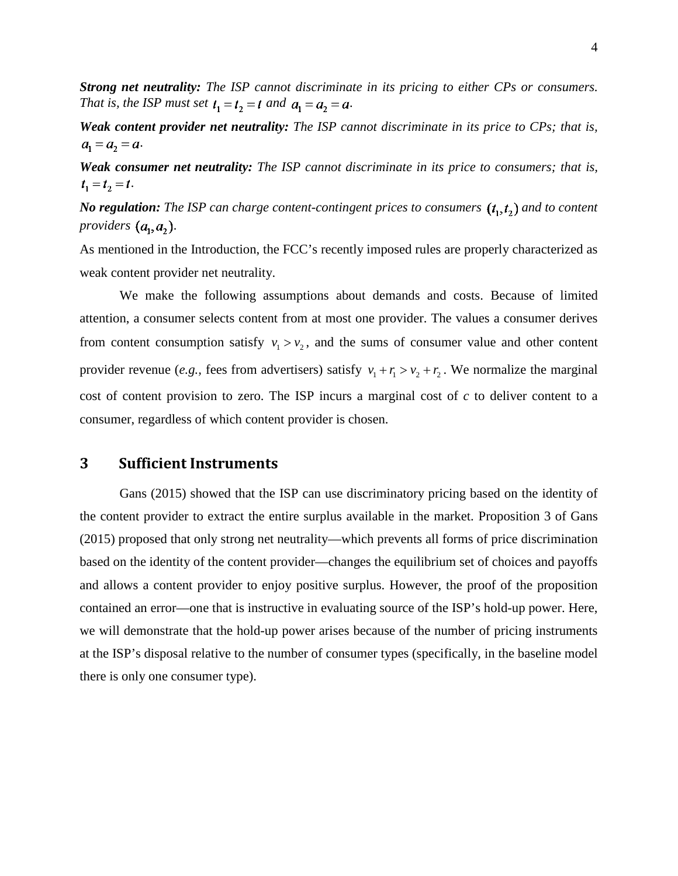*Strong net neutrality: The ISP cannot discriminate in its pricing to either CPs or consumers. That is, the ISP must set*  $t_1 = t_2 = t$  *and*  $a_1 = a_2 = a$ .

*Weak content provider net neutrality: The ISP cannot discriminate in its price to CPs; that is,*   $a_1 = a_2 = a$ .

*Weak consumer net neutrality: The ISP cannot discriminate in its price to consumers; that is,*   $t_1 = t_2 = t$ .

*No regulation:* The ISP can charge content-contingent prices to consumers  $(t_1, t_2)$  and to content *providers*  $(a_1, a_2)$ .

As mentioned in the Introduction, the FCC's recently imposed rules are properly characterized as weak content provider net neutrality.

We make the following assumptions about demands and costs. Because of limited attention, a consumer selects content from at most one provider. The values a consumer derives from content consumption satisfy  $v_1 > v_2$ , and the sums of consumer value and other content provider revenue (*e.g.*, fees from advertisers) satisfy  $v_1 + r_1 > v_2 + r_2$ . We normalize the marginal cost of content provision to zero. The ISP incurs a marginal cost of *c* to deliver content to a consumer, regardless of which content provider is chosen.

## **3 Sufficient Instruments**

Gans (2015) showed that the ISP can use discriminatory pricing based on the identity of the content provider to extract the entire surplus available in the market. Proposition 3 of Gans (2015) proposed that only strong net neutrality—which prevents all forms of price discrimination based on the identity of the content provider—changes the equilibrium set of choices and payoffs and allows a content provider to enjoy positive surplus. However, the proof of the proposition contained an error—one that is instructive in evaluating source of the ISP's hold-up power. Here, we will demonstrate that the hold-up power arises because of the number of pricing instruments at the ISP's disposal relative to the number of consumer types (specifically, in the baseline model there is only one consumer type).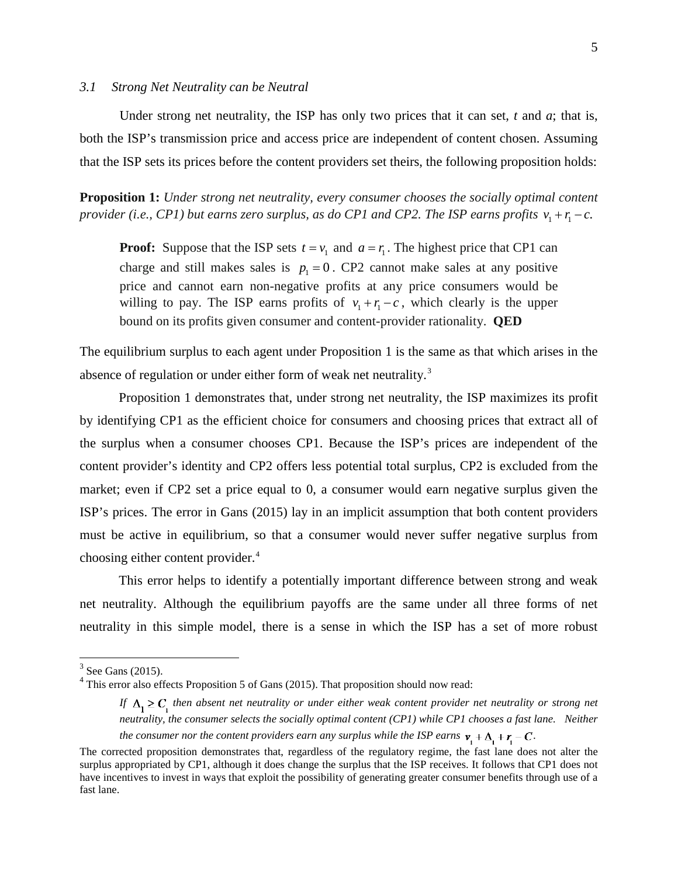#### *3.1 Strong Net Neutrality can be Neutral*

Under strong net neutrality, the ISP has only two prices that it can set, *t* and *a*; that is, both the ISP's transmission price and access price are independent of content chosen. Assuming that the ISP sets its prices before the content providers set theirs, the following proposition holds:

**Proposition 1:** *Under strong net neutrality, every consumer chooses the socially optimal content provider (i.e., CP1) but earns zero surplus, as do CP1 and CP2. The ISP earns profits*  $v_1 + r_1 - c$ .

**Proof:** Suppose that the ISP sets  $t = v_1$  and  $a = r_1$ . The highest price that CP1 can charge and still makes sales is  $p_1 = 0$ . CP2 cannot make sales at any positive price and cannot earn non-negative profits at any price consumers would be willing to pay. The ISP earns profits of  $v_1 + r_1 - c$ , which clearly is the upper bound on its profits given consumer and content-provider rationality. **QED**

The equilibrium surplus to each agent under Proposition 1 is the same as that which arises in the absence of regulation or under either form of weak net neutrality.<sup>[3](#page-5-0)</sup>

Proposition 1 demonstrates that, under strong net neutrality, the ISP maximizes its profit by identifying CP1 as the efficient choice for consumers and choosing prices that extract all of the surplus when a consumer chooses CP1. Because the ISP's prices are independent of the content provider's identity and CP2 offers less potential total surplus, CP2 is excluded from the market; even if CP2 set a price equal to 0, a consumer would earn negative surplus given the ISP's prices. The error in Gans (2015) lay in an implicit assumption that both content providers must be active in equilibrium, so that a consumer would never suffer negative surplus from choosing either content provider.<sup>[4](#page-5-1)</sup>

This error helps to identify a potentially important difference between strong and weak net neutrality. Although the equilibrium payoffs are the same under all three forms of net neutrality in this simple model, there is a sense in which the ISP has a set of more robust

 $\overline{a}$ 

 $3$  See Gans (2015).

<span id="page-5-1"></span><span id="page-5-0"></span><sup>&</sup>lt;sup>4</sup> This error also effects Proposition 5 of Gans (2015). That proposition should now read:

*If*  $\Delta_1 \ge C_1$  then absent net neutrality or under either weak content provider net neutrality or strong net *neutrality, the consumer selects the socially optimal content (CP1) while CP1 chooses a fast lane. Neither the consumer nor the content providers earn any surplus while the ISP earns*  $v_1 + \Delta_1 + r_1 - C$ .

The corrected proposition demonstrates that, regardless of the regulatory regime, the fast lane does not alter the surplus appropriated by CP1, although it does change the surplus that the ISP receives. It follows that CP1 does not have incentives to invest in ways that exploit the possibility of generating greater consumer benefits through use of a fast lane.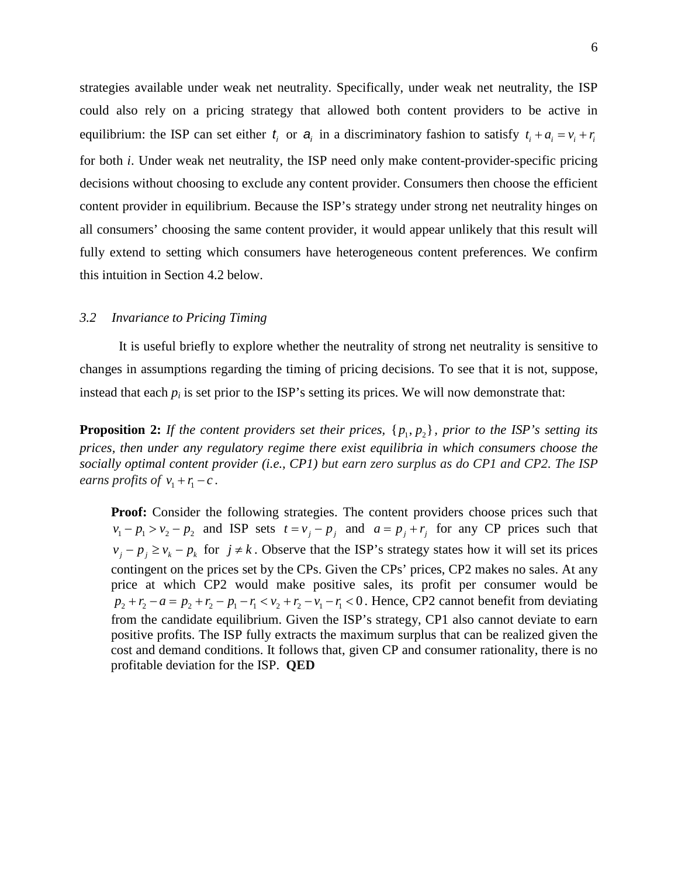strategies available under weak net neutrality. Specifically, under weak net neutrality, the ISP could also rely on a pricing strategy that allowed both content providers to be active in equilibrium: the ISP can set either  $t_i$  or  $a_i$  in a discriminatory fashion to satisfy  $t_i + a_i = v_i + r_i$ for both *i*. Under weak net neutrality, the ISP need only make content-provider-specific pricing decisions without choosing to exclude any content provider. Consumers then choose the efficient content provider in equilibrium. Because the ISP's strategy under strong net neutrality hinges on all consumers' choosing the same content provider, it would appear unlikely that this result will fully extend to setting which consumers have heterogeneous content preferences. We confirm this intuition in Section 4.2 below.

#### *3.2 Invariance to Pricing Timing*

It is useful briefly to explore whether the neutrality of strong net neutrality is sensitive to changes in assumptions regarding the timing of pricing decisions. To see that it is not, suppose, instead that each  $p_i$  is set prior to the ISP's setting its prices. We will now demonstrate that:

**Proposition 2:** *If the content providers set their prices,*  $\{p_1, p_2\}$ *, prior to the ISP's setting its prices, then under any regulatory regime there exist equilibria in which consumers choose the socially optimal content provider (i.e., CP1) but earn zero surplus as do CP1 and CP2. The ISP earns profits of*  $v_1 + r_1 - c$ .

**Proof:** Consider the following strategies. The content providers choose prices such that  $v_1 - p_1 > v_2 - p_2$  and ISP sets  $t = v_j - p_j$  and  $a = p_j + r_j$  for any CP prices such that  $v_j - p_j \ge v_k - p_k$  for  $j \ne k$ . Observe that the ISP's strategy states how it will set its prices contingent on the prices set by the CPs. Given the CPs' prices, CP2 makes no sales. At any price at which CP2 would make positive sales, its profit per consumer would be  $p_2 + r_2 - a = p_2 + r_2 - p_1 - r_1 < v_2 + r_2 - v_1 - r_1 < 0$ . Hence, CP2 cannot benefit from deviating from the candidate equilibrium. Given the ISP's strategy, CP1 also cannot deviate to earn positive profits. The ISP fully extracts the maximum surplus that can be realized given the cost and demand conditions. It follows that, given CP and consumer rationality, there is no profitable deviation for the ISP. **QED**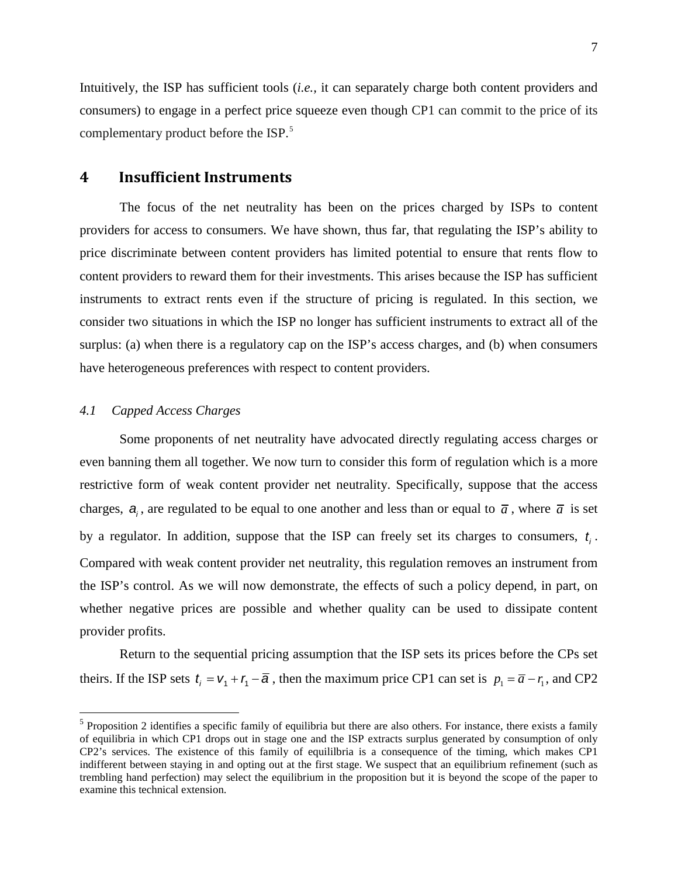Intuitively, the ISP has sufficient tools (*i.e.,* it can separately charge both content providers and consumers) to engage in a perfect price squeeze even though CP1 can commit to the price of its complementary product before the ISP.<sup>[5](#page-7-0)</sup>

### **4 Insufficient Instruments**

The focus of the net neutrality has been on the prices charged by ISPs to content providers for access to consumers. We have shown, thus far, that regulating the ISP's ability to price discriminate between content providers has limited potential to ensure that rents flow to content providers to reward them for their investments. This arises because the ISP has sufficient instruments to extract rents even if the structure of pricing is regulated. In this section, we consider two situations in which the ISP no longer has sufficient instruments to extract all of the surplus: (a) when there is a regulatory cap on the ISP's access charges, and (b) when consumers have heterogeneous preferences with respect to content providers.

#### *4.1 Capped Access Charges*

 $\overline{a}$ 

Some proponents of net neutrality have advocated directly regulating access charges or even banning them all together. We now turn to consider this form of regulation which is a more restrictive form of weak content provider net neutrality. Specifically, suppose that the access charges,  $a_i$ , are regulated to be equal to one another and less than or equal to  $\bar{a}$ , where  $\bar{a}$  is set by a regulator. In addition, suppose that the ISP can freely set its charges to consumers,  $t_i$ . Compared with weak content provider net neutrality, this regulation removes an instrument from the ISP's control. As we will now demonstrate, the effects of such a policy depend, in part, on whether negative prices are possible and whether quality can be used to dissipate content provider profits.

Return to the sequential pricing assumption that the ISP sets its prices before the CPs set theirs. If the ISP sets  $t_i = v_1 + r_1 - \overline{a}$ , then the maximum price CP1 can set is  $p_i = \overline{a} - r_i$ , and CP2

<span id="page-7-0"></span> $<sup>5</sup>$  Proposition 2 identifies a specific family of equilibria but there are also others. For instance, there exists a family</sup> of equilibria in which CP1 drops out in stage one and the ISP extracts surplus generated by consumption of only CP2's services. The existence of this family of equililbria is a consequence of the timing, which makes CP1 indifferent between staying in and opting out at the first stage. We suspect that an equilibrium refinement (such as trembling hand perfection) may select the equilibrium in the proposition but it is beyond the scope of the paper to examine this technical extension.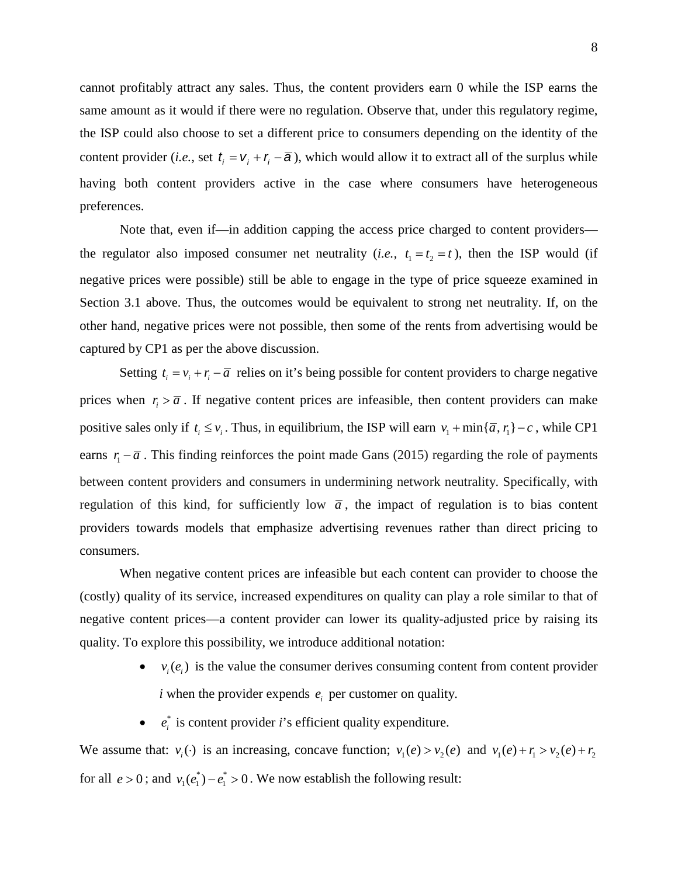cannot profitably attract any sales. Thus, the content providers earn 0 while the ISP earns the same amount as it would if there were no regulation. Observe that, under this regulatory regime, the ISP could also choose to set a different price to consumers depending on the identity of the content provider (*i.e.*, set  $t_i = v_i + r_i - \overline{a}$ ), which would allow it to extract all of the surplus while having both content providers active in the case where consumers have heterogeneous preferences.

Note that, even if—in addition capping the access price charged to content providers the regulator also imposed consumer net neutrality (*i.e.*,  $t_1 = t_2 = t$ ), then the ISP would (if negative prices were possible) still be able to engage in the type of price squeeze examined in Section 3.1 above. Thus, the outcomes would be equivalent to strong net neutrality. If, on the other hand, negative prices were not possible, then some of the rents from advertising would be captured by CP1 as per the above discussion.

Setting  $t_i = v_i + r_i - \overline{a}$  relies on it's being possible for content providers to charge negative prices when  $r_i > \overline{a}$ . If negative content prices are infeasible, then content providers can make positive sales only if  $t_i \le v_i$ . Thus, in equilibrium, the ISP will earn  $v_1 + \min{\{\overline{a}, r_1\}} - c$ , while CP1 earns  $r_1 - \overline{a}$ . This finding reinforces the point made Gans (2015) regarding the role of payments between content providers and consumers in undermining network neutrality. Specifically, with regulation of this kind, for sufficiently low  $\bar{a}$ , the impact of regulation is to bias content providers towards models that emphasize advertising revenues rather than direct pricing to consumers.

When negative content prices are infeasible but each content can provider to choose the (costly) quality of its service, increased expenditures on quality can play a role similar to that of negative content prices—a content provider can lower its quality-adjusted price by raising its quality. To explore this possibility, we introduce additional notation:

- $v_i(e_i)$  is the value the consumer derives consuming content from content provider  $i$  when the provider expends  $e_i$  per customer on quality.
- $e_i^*$  is content provider *i*'s efficient quality expenditure.

We assume that:  $v_i(\cdot)$  is an increasing, concave function;  $v_1(e) > v_2(e)$  and  $v_1(e) + r_1 > v_2(e) + r_2$ for all  $e > 0$ ; and  $v_1(e_1^*) - e_1^* > 0$ . We now establish the following result: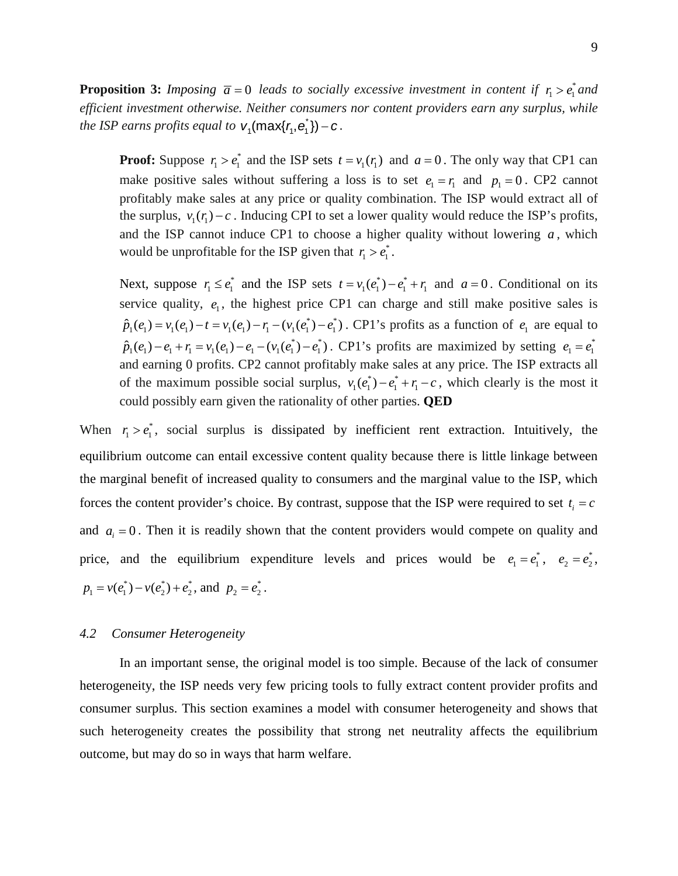**Proposition 3:** *Imposing*  $\bar{a} = 0$  *leads to socially excessive investment in content if*  $r_1 > e_1^*$  and *efficient investment otherwise. Neither consumers nor content providers earn any surplus, while the ISP earns profits equal to*  $v_1$ (max{ $r_1$ , $e_1$ ) – *c*.

**Proof:** Suppose  $r_1 > e_1^*$  and the ISP sets  $t = v_1(r_1)$  and  $a = 0$ . The only way that CP1 can make positive sales without suffering a loss is to set  $e_1 = r_1$  and  $p_1 = 0$ . CP2 cannot profitably make sales at any price or quality combination. The ISP would extract all of the surplus,  $v_1(r_1) - c$ . Inducing CPI to set a lower quality would reduce the ISP's profits, and the ISP cannot induce CP1 to choose a higher quality without lowering *a* , which would be unprofitable for the ISP given that  $r_1 > e_1^*$ .

Next, suppose  $r_1 \leq e_1^*$  and the ISP sets  $t = v_1(e_1^*) - e_1^* + r_1$  and  $a = 0$ . Conditional on its service quality,  $e_1$ , the highest price CP1 can charge and still make positive sales is  $\hat{p}_1(e_1) = v_1(e_1) - t = v_1(e_1) - r_1 - (v_1(e_1^*) - e_1^*)$ . CP1's profits as a function of  $e_1$  are equal to  $\hat{p}_1(e_1) - e_1 + r_1 = v_1(e_1) - e_1 - (v_1(e_1^*) - e_1^*)$ . CP1's profits are maximized by setting  $e_1 = e_1^*$ and earning 0 profits. CP2 cannot profitably make sales at any price. The ISP extracts all of the maximum possible social surplus,  $v_1(e_1^*) - e_1^* + r_1 - c$ , which clearly is the most it could possibly earn given the rationality of other parties. **QED**

When  $r_1 > e_1^*$ , social surplus is dissipated by inefficient rent extraction. Intuitively, the equilibrium outcome can entail excessive content quality because there is little linkage between the marginal benefit of increased quality to consumers and the marginal value to the ISP, which forces the content provider's choice. By contrast, suppose that the ISP were required to set  $t_i = c$ and  $a_i = 0$ . Then it is readily shown that the content providers would compete on quality and price, and the equilibrium expenditure levels and prices would be  $e_1 = e_1^*$ ,  $e_2 = e_2^*$ ,  $p_1 = v(e_1^*) - v(e_2^*) + e_2^*$ , and  $p_2 = e_2^*$ .

#### *4.2 Consumer Heterogeneity*

In an important sense, the original model is too simple. Because of the lack of consumer heterogeneity, the ISP needs very few pricing tools to fully extract content provider profits and consumer surplus. This section examines a model with consumer heterogeneity and shows that such heterogeneity creates the possibility that strong net neutrality affects the equilibrium outcome, but may do so in ways that harm welfare.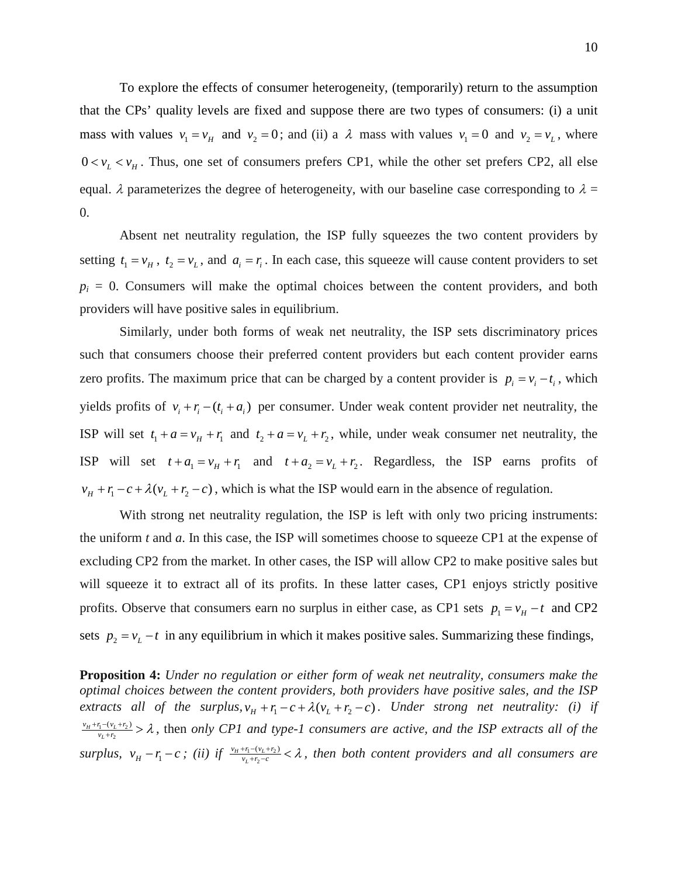To explore the effects of consumer heterogeneity, (temporarily) return to the assumption that the CPs' quality levels are fixed and suppose there are two types of consumers: (i) a unit mass with values  $v_1 = v_H$  and  $v_2 = 0$ ; and (ii) a  $\lambda$  mass with values  $v_1 = 0$  and  $v_2 = v_L$ , where  $0 < v_L < v_H$ . Thus, one set of consumers prefers CP1, while the other set prefers CP2, all else equal.  $\lambda$  parameterizes the degree of heterogeneity, with our baseline case corresponding to  $\lambda =$ 0.

Absent net neutrality regulation, the ISP fully squeezes the two content providers by setting  $t_1 = v_H$ ,  $t_2 = v_L$ , and  $a_i = r_i$ . In each case, this squeeze will cause content providers to set  $p_i = 0$ . Consumers will make the optimal choices between the content providers, and both providers will have positive sales in equilibrium.

Similarly, under both forms of weak net neutrality, the ISP sets discriminatory prices such that consumers choose their preferred content providers but each content provider earns zero profits. The maximum price that can be charged by a content provider is  $p_i = v_i - t_i$ , which yields profits of  $v_i + r_i - (t_i + a_i)$  per consumer. Under weak content provider net neutrality, the ISP will set  $t_1 + a = v_H + r_1$  and  $t_2 + a = v_L + r_2$ , while, under weak consumer net neutrality, the ISP will set  $t + a_1 = v_H + r_1$  and  $t + a_2 = v_L + r_2$ . Regardless, the ISP earns profits of  $v_H + r_1 - c + \lambda (v_L + r_2 - c)$ , which is what the ISP would earn in the absence of regulation.

With strong net neutrality regulation, the ISP is left with only two pricing instruments: the uniform *t* and *a*. In this case, the ISP will sometimes choose to squeeze CP1 at the expense of excluding CP2 from the market. In other cases, the ISP will allow CP2 to make positive sales but will squeeze it to extract all of its profits. In these latter cases, CP1 enjoys strictly positive profits. Observe that consumers earn no surplus in either case, as CP1 sets  $p_1 = v_H - t$  and CP2 sets  $p_2 = v_L - t$  in any equilibrium in which it makes positive sales. Summarizing these findings,

**Proposition 4:** *Under no regulation or either form of weak net neutrality, consumers make the optimal choices between the content providers, both providers have positive sales, and the ISP extracts all of the surplus,*  $v_H + r_1 - c + \lambda (v_L + r_2 - c)$ . Under strong net neutrality: (i) if  $1 - (v_L + r_2)$  $\frac{1}{(n+1)(\nu_L + \nu_2)} > \lambda$  $v_n+v_n-v_{n+1}v_{n+2}$  >  $\lambda$ , then *only CP1 and type-1 consumers are active, and the ISP extracts all of the*  $surplus, v_H - r_1 - c$ ; (ii) if  $\frac{v_H + r_1 - (v_L + r_2)}{v_L + r_2 - c} < \lambda$  $v_{H}+r_{1}-(v_{L}+r_{2})$  <  $\lambda$ , then both content providers and all consumers are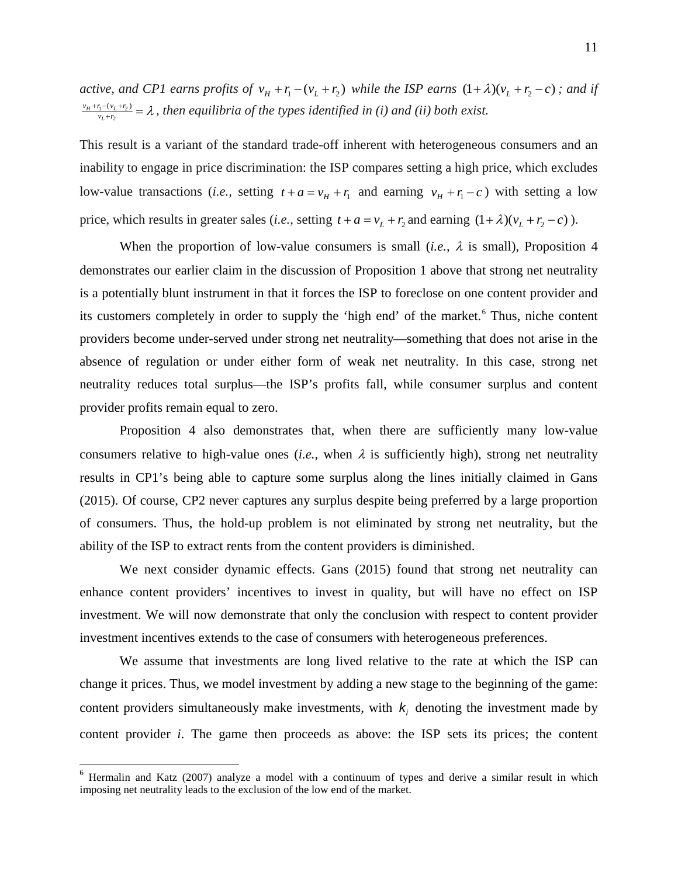*active, and CP1 earns profits of*  $v_H + r_1 - (v_L + r_2)$  *while the ISP earns*  $(1 + \lambda)(v_L + r_2 - c)$ ; and if  $1 - (v_L + r_2)$  $\frac{v_{L}+r_{1}-(v_{L}+r_{2})}{v_{L}+r_{2}} = \lambda$  $v_{H}+r_{1}-(v_{L}+r_{2})$  =  $\lambda$ , then equilibria of the types identified in (i) and (ii) both exist.

This result is a variant of the standard trade-off inherent with heterogeneous consumers and an inability to engage in price discrimination: the ISP compares setting a high price, which excludes low-value transactions (*i.e.*, setting  $t + a = v_H + r_1$  and earning  $v_H + r_1 - c$ ) with setting a low price, which results in greater sales (*i.e.*, setting  $t + a = v_L + r_2$  and earning  $(1 + \lambda)(v_L + r_2 - c)$ ).

When the proportion of low-value consumers is small (*i.e.*,  $\lambda$  is small), Proposition 4 demonstrates our earlier claim in the discussion of Proposition 1 above that strong net neutrality is a potentially blunt instrument in that it forces the ISP to foreclose on one content provider and its customers completely in order to supply the 'high end' of the market.<sup>[6](#page-11-0)</sup> Thus, niche content providers become under-served under strong net neutrality—something that does not arise in the absence of regulation or under either form of weak net neutrality. In this case, strong net neutrality reduces total surplus—the ISP's profits fall, while consumer surplus and content provider profits remain equal to zero.

Proposition 4 also demonstrates that, when there are sufficiently many low-value consumers relative to high-value ones (*i.e.*, when  $\lambda$  is sufficiently high), strong net neutrality results in CP1's being able to capture some surplus along the lines initially claimed in Gans (2015). Of course, CP2 never captures any surplus despite being preferred by a large proportion of consumers. Thus, the hold-up problem is not eliminated by strong net neutrality, but the ability of the ISP to extract rents from the content providers is diminished.

We next consider dynamic effects. Gans (2015) found that strong net neutrality can enhance content providers' incentives to invest in quality, but will have no effect on ISP investment. We will now demonstrate that only the conclusion with respect to content provider investment incentives extends to the case of consumers with heterogeneous preferences.

We assume that investments are long lived relative to the rate at which the ISP can change it prices. Thus, we model investment by adding a new stage to the beginning of the game: content providers simultaneously make investments, with  $k_i$  denoting the investment made by content provider *i*. The game then proceeds as above: the ISP sets its prices; the content

 $\overline{a}$ 

<span id="page-11-0"></span> $6$  Hermalin and Katz (2007) analyze a model with a continuum of types and derive a similar result in which imposing net neutrality leads to the exclusion of the low end of the market.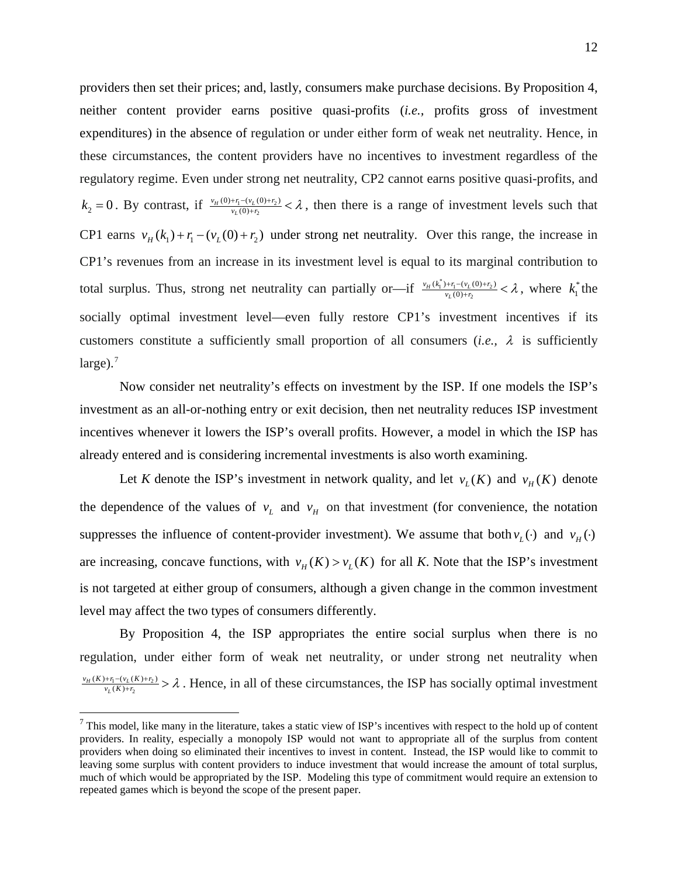providers then set their prices; and, lastly, consumers make purchase decisions. By Proposition 4, neither content provider earns positive quasi-profits (*i.e.,* profits gross of investment expenditures) in the absence of regulation or under either form of weak net neutrality. Hence, in these circumstances, the content providers have no incentives to investment regardless of the regulatory regime. Even under strong net neutrality, CP2 cannot earns positive quasi-profits, and  $k_2 = 0$ . By contrast, if  $\frac{v_H(0) + r_1 - (v_L(0) + r_2)}{v_L(0) + r_2}$  $\frac{H^{(0)+r_1-(v_L(0)+r_2)}}{v_L(0)+r_2} < \lambda$  $v_H(0) + r_1 - (v_L(0) + r_2)$ <br> $v_L(0) + r_2$   $\lambda$ , then there is a range of investment levels such that CP1 earns  $v_H(k_1) + r_1 - (v_L(0) + r_2)$  under strong net neutrality. Over this range, the increase in CP1's revenues from an increase in its investment level is equal to its marginal contribution to total surplus. Thus, strong net neutrality can partially or—if  $\frac{v_H(k_1^*)+r_1-(v_L(0)+r_2)}{v_L(0)+r_L}$ 2  $\frac{H^{(k_1^*)+r_1-(v_L(0)+r_2)}}{v_L(0)+r_2} < \lambda$  $v_H(k_1^*) + r_1 - (v_L(0) + r_2)$  <  $\lambda$ , where  $k_1^*$  the socially optimal investment level—even fully restore CP1's investment incentives if its customers constitute a sufficiently small proportion of all consumers (*i.e.,* λ is sufficiently large). $<sup>7</sup>$  $<sup>7</sup>$  $<sup>7</sup>$ </sup>

Now consider net neutrality's effects on investment by the ISP. If one models the ISP's investment as an all-or-nothing entry or exit decision, then net neutrality reduces ISP investment incentives whenever it lowers the ISP's overall profits. However, a model in which the ISP has already entered and is considering incremental investments is also worth examining.

Let *K* denote the ISP's investment in network quality, and let  $v_L(K)$  and  $v_H(K)$  denote the dependence of the values of  $v_L$  and  $v_H$  on that investment (for convenience, the notation suppresses the influence of content-provider investment). We assume that both  $v_L(\cdot)$  and  $v_H(\cdot)$ are increasing, concave functions, with  $v_H(K) > v_L(K)$  for all K. Note that the ISP's investment is not targeted at either group of consumers, although a given change in the common investment level may affect the two types of consumers differently.

By Proposition 4, the ISP appropriates the entire social surplus when there is no regulation, under either form of weak net neutrality, or under strong net neutrality when  $1 - (V_L (K) + V_2)$ 2  $\frac{\nu_{H}(K) + r_{1} - (\nu_{L}(K) + r_{2})}{\nu_{L}(K) + r_{2}} > \lambda$  $v_H(K)+r_1-(v_L(K)+r_2)$   $\geq \lambda$ . Hence, in all of these circumstances, the ISP has socially optimal investment

 $\overline{a}$ 

<span id="page-12-0"></span> $<sup>7</sup>$  This model, like many in the literature, takes a static view of ISP's incentives with respect to the hold up of content</sup> providers. In reality, especially a monopoly ISP would not want to appropriate all of the surplus from content providers when doing so eliminated their incentives to invest in content. Instead, the ISP would like to commit to leaving some surplus with content providers to induce investment that would increase the amount of total surplus, much of which would be appropriated by the ISP. Modeling this type of commitment would require an extension to repeated games which is beyond the scope of the present paper.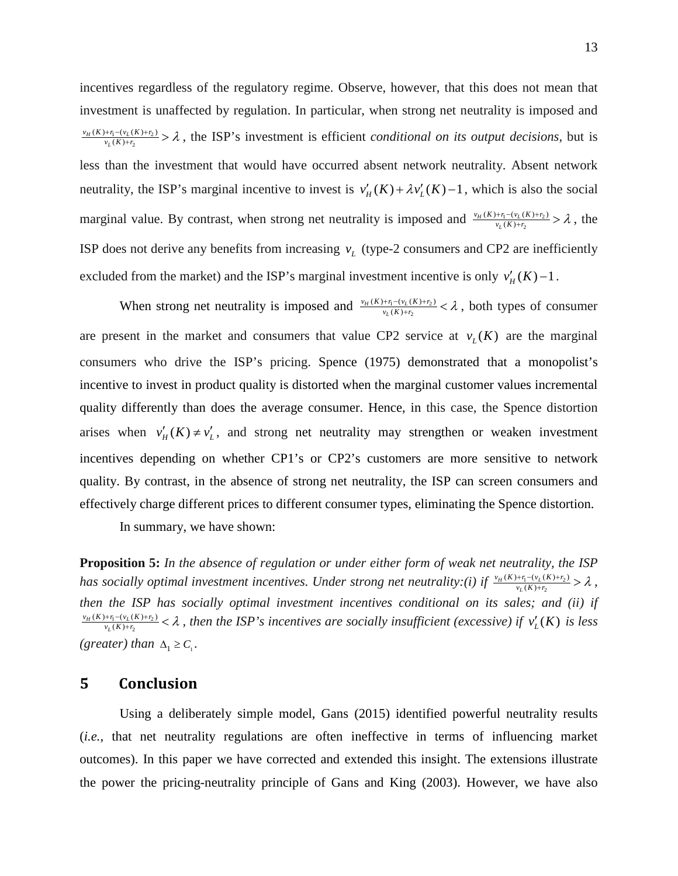incentives regardless of the regulatory regime. Observe, however, that this does not mean that investment is unaffected by regulation. In particular, when strong net neutrality is imposed and  $1 - (V_L (K) + V_2)$ 2  $\frac{\nu_{H}(K) + r_{1} - (\nu_{L}(K) + r_{2})}{\nu_{L}(K) + r_{2}} > \lambda$  $v_H(K)+r_1-(v_L(K)+r_2)$   $\geq \lambda$ , the ISP's investment is efficient *conditional on its output decisions*, but is less than the investment that would have occurred absent network neutrality. Absent network neutrality, the ISP's marginal incentive to invest is  $v'_H(K) + \lambda v'_L(K) - 1$ , which is also the social marginal value. By contrast, when strong net neutrality is imposed and  $\frac{v_H(K)+r_1-v_L(K)+r_2}{v_L(K)+r_2}$  $\frac{\nu_{H}(K) + r_{1} - (\nu_{L}(K) + r_{2})}{\nu_{L}(K) + r_{2}} > \lambda$  $\frac{v_H(K)+r_1-(v_L(K)+r_2)}{v_L(K)+r_2} > \lambda$ , the ISP does not derive any benefits from increasing  $v<sub>L</sub>$  (type-2 consumers and CP2 are inefficiently excluded from the market) and the ISP's marginal investment incentive is only  $v'_H(K) - 1$ .

When strong net neutrality is imposed and  $\frac{v_H(K)+r_1-v_L(K)+r_2}{v_L(K)+r_2}$  $\frac{H(K) + r_1 - (v_L(K) + r_2)}{v_L(K) + r_2} < \lambda$  $\frac{v_H(K)+r_1-(v_L(K)+r_2)}{v_L(K)+r_2} < \lambda$ , both types of consumer are present in the market and consumers that value CP2 service at  $v_L(K)$  are the marginal consumers who drive the ISP's pricing. Spence (1975) demonstrated that a monopolist's incentive to invest in product quality is distorted when the marginal customer values incremental quality differently than does the average consumer. Hence, in this case, the Spence distortion arises when  $v'_H(K) \neq v'_L$ , and strong net neutrality may strengthen or weaken investment incentives depending on whether CP1's or CP2's customers are more sensitive to network quality. By contrast, in the absence of strong net neutrality, the ISP can screen consumers and effectively charge different prices to different consumer types, eliminating the Spence distortion.

In summary, we have shown:

**Proposition 5:** *In the absence of regulation or under either form of weak net neutrality, the ISP*  has socially optimal investment incentives. Under strong net neutrality:(i) if  $\frac{v_H(K)+r_1-v_L(K)+r_2}{v_L(K)+r_2}$  $\frac{\nu_{H}(K) + r_{1} - (\nu_{L}(K) + r_{2})}{\nu_{L}(K) + r_{2}} > \lambda$  $\frac{v_H(K)+r_1-(v_L(K)+r_2)}{v_L(K)+r_2} > \lambda$ , *then the ISP has socially optimal investment incentives conditional on its sales; and (ii) if*   $1 - (V_L (K) + V_2)$ 2  $\frac{\nu_{H}(K) + r_{1} - (\nu_{L}(K) + r_{2})}{\nu_{L}(K) + r_{2}} < \lambda$  $v_H(K)+r_1-v_L(K)+r_2$ )  $< \lambda$ , then the ISP's incentives are socially insufficient (excessive) if  $v'_L(K)$  is less *(greater) than*  $\Delta_1 \geq C_1$ *.* 

### **5 Conclusion**

Using a deliberately simple model, Gans (2015) identified powerful neutrality results (*i.e.,* that net neutrality regulations are often ineffective in terms of influencing market outcomes). In this paper we have corrected and extended this insight. The extensions illustrate the power the pricing-neutrality principle of Gans and King (2003). However, we have also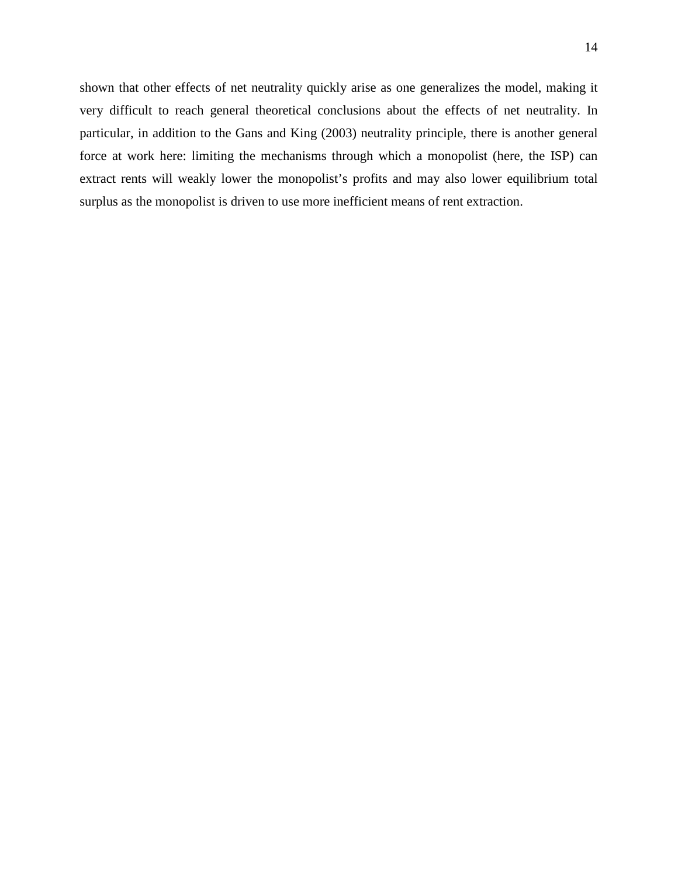shown that other effects of net neutrality quickly arise as one generalizes the model, making it very difficult to reach general theoretical conclusions about the effects of net neutrality. In particular, in addition to the Gans and King (2003) neutrality principle, there is another general force at work here: limiting the mechanisms through which a monopolist (here, the ISP) can extract rents will weakly lower the monopolist's profits and may also lower equilibrium total surplus as the monopolist is driven to use more inefficient means of rent extraction.